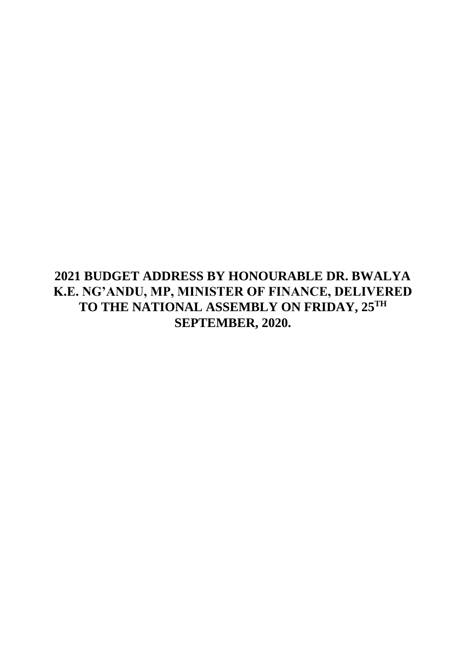**2021 BUDGET ADDRESS BY HONOURABLE DR. BWALYA K.E. NG'ANDU, MP, MINISTER OF FINANCE, DELIVERED TO THE NATIONAL ASSEMBLY ON FRIDAY, 25TH SEPTEMBER, 2020.**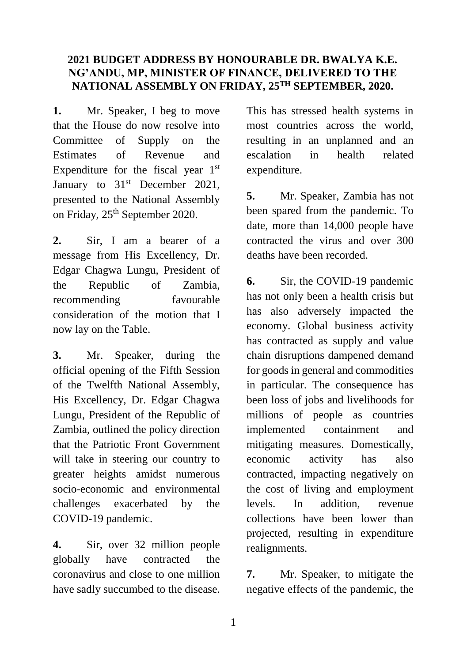### **2021 BUDGET ADDRESS BY HONOURABLE DR. BWALYA K.E. NG'ANDU, MP, MINISTER OF FINANCE, DELIVERED TO THE NATIONAL ASSEMBLY ON FRIDAY, 25TH SEPTEMBER, 2020.**

**1.** Mr. Speaker, I beg to move that the House do now resolve into Committee of Supply on the Estimates of Revenue and Expenditure for the fiscal year  $1<sup>st</sup>$ January to  $31<sup>st</sup>$  December 2021, presented to the National Assembly on Friday, 25<sup>th</sup> September 2020.

**2.** Sir, I am a bearer of a message from His Excellency, Dr. Edgar Chagwa Lungu, President of the Republic of Zambia, recommending favourable consideration of the motion that I now lay on the Table.

**3.** Mr. Speaker, during the official opening of the Fifth Session of the Twelfth National Assembly, His Excellency, Dr. Edgar Chagwa Lungu, President of the Republic of Zambia, outlined the policy direction that the Patriotic Front Government will take in steering our country to greater heights amidst numerous socio-economic and environmental challenges exacerbated by the COVID-19 pandemic.

**4.** Sir, over 32 million people globally have contracted the coronavirus and close to one million have sadly succumbed to the disease.

This has stressed health systems in most countries across the world, resulting in an unplanned and an escalation in health related expenditure.

**5.** Mr. Speaker, Zambia has not been spared from the pandemic. To date, more than 14,000 people have contracted the virus and over 300 deaths have been recorded.

**6.** Sir, the COVID-19 pandemic has not only been a health crisis but has also adversely impacted the economy. Global business activity has contracted as supply and value chain disruptions dampened demand for goods in general and commodities in particular. The consequence has been loss of jobs and livelihoods for millions of people as countries implemented containment and mitigating measures. Domestically, economic activity has also contracted, impacting negatively on the cost of living and employment levels. In addition, revenue collections have been lower than projected, resulting in expenditure realignments.

**7.** Mr. Speaker, to mitigate the negative effects of the pandemic, the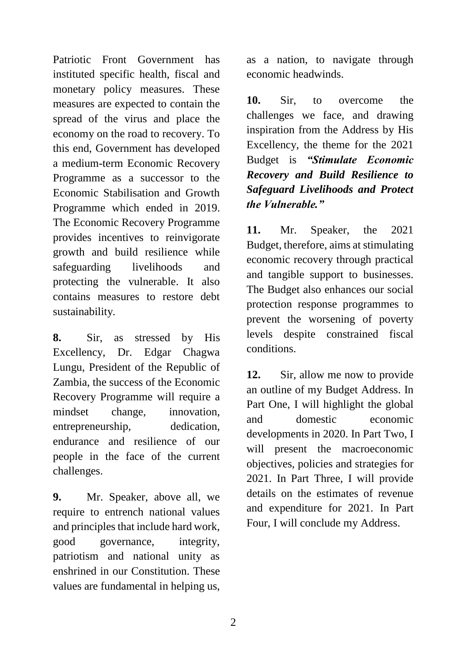Patriotic Front Government has instituted specific health, fiscal and monetary policy measures. These measures are expected to contain the spread of the virus and place the economy on the road to recovery. To this end, Government has developed a medium-term Economic Recovery Programme as a successor to the Economic Stabilisation and Growth Programme which ended in 2019. The Economic Recovery Programme provides incentives to reinvigorate growth and build resilience while safeguarding livelihoods and protecting the vulnerable. It also contains measures to restore debt sustainability.

**8.** Sir, as stressed by His Excellency, Dr. Edgar Chagwa Lungu, President of the Republic of Zambia, the success of the Economic Recovery Programme will require a mindset change, innovation, entrepreneurship, dedication, endurance and resilience of our people in the face of the current challenges.

**9.** Mr. Speaker, above all, we require to entrench national values and principles that include hard work, good governance, integrity, patriotism and national unity as enshrined in our Constitution. These values are fundamental in helping us,

as a nation, to navigate through economic headwinds.

**10.** Sir, to overcome the challenges we face, and drawing inspiration from the Address by His Excellency, the theme for the 2021 Budget is *"Stimulate Economic Recovery and Build Resilience to Safeguard Livelihoods and Protect the Vulnerable."*

**11.** Mr. Speaker, the 2021 Budget, therefore, aims at stimulating economic recovery through practical and tangible support to businesses. The Budget also enhances our social protection response programmes to prevent the worsening of poverty levels despite constrained fiscal conditions.

**12.** Sir, allow me now to provide an outline of my Budget Address. In Part One, I will highlight the global and domestic economic developments in 2020. In Part Two, I will present the macroeconomic objectives, policies and strategies for 2021. In Part Three, I will provide details on the estimates of revenue and expenditure for 2021. In Part Four, I will conclude my Address.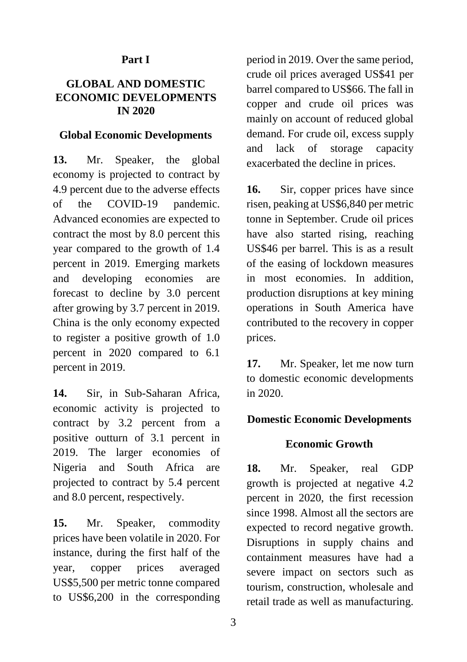### **Part I**

#### **GLOBAL AND DOMESTIC ECONOMIC DEVELOPMENTS IN 2020**

#### **Global Economic Developments**

**13.** Mr. Speaker, the global economy is projected to contract by 4.9 percent due to the adverse effects of the COVID-19 pandemic. Advanced economies are expected to contract the most by 8.0 percent this year compared to the growth of 1.4 percent in 2019. Emerging markets and developing economies are forecast to decline by 3.0 percent after growing by 3.7 percent in 2019. China is the only economy expected to register a positive growth of 1.0 percent in 2020 compared to 6.1 percent in 2019.

**14.** Sir, in Sub-Saharan Africa, economic activity is projected to contract by 3.2 percent from a positive outturn of 3.1 percent in 2019. The larger economies of Nigeria and South Africa are projected to contract by 5.4 percent and 8.0 percent, respectively.

**15.** Mr. Speaker, commodity prices have been volatile in 2020. For instance, during the first half of the year, copper prices averaged US\$5,500 per metric tonne compared to US\$6,200 in the corresponding

period in 2019. Over the same period, crude oil prices averaged US\$41 per barrel compared to US\$66. The fall in copper and crude oil prices was mainly on account of reduced global demand. For crude oil, excess supply and lack of storage capacity exacerbated the decline in prices.

16. Sir, copper prices have since risen, peaking at US\$6,840 per metric tonne in September. Crude oil prices have also started rising, reaching US\$46 per barrel. This is as a result of the easing of lockdown measures in most economies. In addition, production disruptions at key mining operations in South America have contributed to the recovery in copper prices.

**17.** Mr. Speaker, let me now turn to domestic economic developments in 2020.

### **Domestic Economic Developments**

#### **Economic Growth**

**18.** Mr. Speaker, real GDP growth is projected at negative 4.2 percent in 2020, the first recession since 1998. Almost all the sectors are expected to record negative growth. Disruptions in supply chains and containment measures have had a severe impact on sectors such as tourism, construction, wholesale and retail trade as well as manufacturing.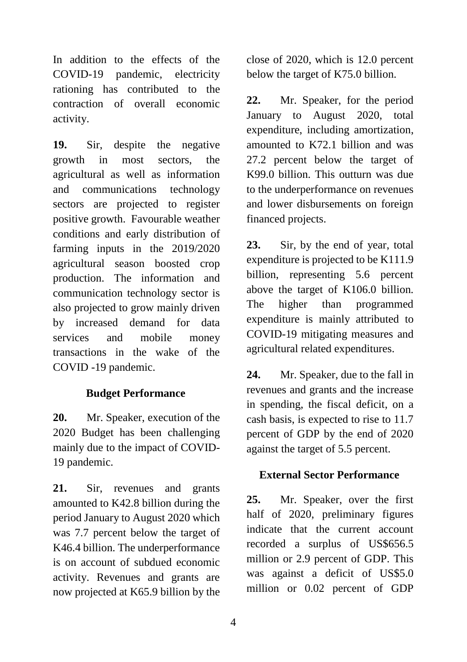In addition to the effects of the COVID-19 pandemic, electricity rationing has contributed to the contraction of overall economic activity.

**19.** Sir, despite the negative growth in most sectors, the agricultural as well as information and communications technology sectors are projected to register positive growth. Favourable weather conditions and early distribution of farming inputs in the 2019/2020 agricultural season boosted crop production. The information and communication technology sector is also projected to grow mainly driven by increased demand for data services and mobile money transactions in the wake of the COVID -19 pandemic.

### **Budget Performance**

**20.** Mr. Speaker, execution of the 2020 Budget has been challenging mainly due to the impact of COVID-19 pandemic.

**21.** Sir, revenues and grants amounted to K42.8 billion during the period January to August 2020 which was 7.7 percent below the target of K46.4 billion. The underperformance is on account of subdued economic activity. Revenues and grants are now projected at K65.9 billion by the

close of 2020, which is 12.0 percent below the target of K75.0 billion.

**22.** Mr. Speaker, for the period January to August 2020, total expenditure, including amortization, amounted to K72.1 billion and was 27.2 percent below the target of K99.0 billion. This outturn was due to the underperformance on revenues and lower disbursements on foreign financed projects.

**23.** Sir, by the end of year, total expenditure is projected to be K111.9 billion, representing 5.6 percent above the target of K106.0 billion. The higher than programmed expenditure is mainly attributed to COVID-19 mitigating measures and agricultural related expenditures.

**24.** Mr. Speaker, due to the fall in revenues and grants and the increase in spending, the fiscal deficit, on a cash basis, is expected to rise to 11.7 percent of GDP by the end of 2020 against the target of 5.5 percent.

### **External Sector Performance**

**25.** Mr. Speaker, over the first half of 2020, preliminary figures indicate that the current account recorded a surplus of US\$656.5 million or 2.9 percent of GDP. This was against a deficit of US\$5.0 million or 0.02 percent of GDP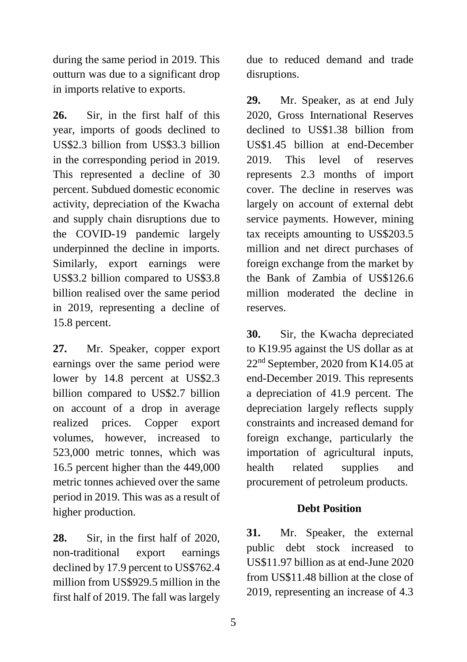during the same period in 2019. This outturn was due to a significant drop in imports relative to exports.

**26.** Sir, in the first half of this year, imports of goods declined to US\$2.3 billion from US\$3.3 billion in the corresponding period in 2019. This represented a decline of 30 percent. Subdued domestic economic activity, depreciation of the Kwacha and supply chain disruptions due to the COVID-19 pandemic largely underpinned the decline in imports. Similarly, export earnings were US\$3.2 billion compared to US\$3.8 billion realised over the same period in 2019, representing a decline of 15.8 percent.

**27.** Mr. Speaker, copper export earnings over the same period were lower by 14.8 percent at US\$2.3 billion compared to US\$2.7 billion on account of a drop in average realized prices. Copper export volumes, however, increased to 523,000 metric tonnes, which was 16.5 percent higher than the 449,000 metric tonnes achieved over the same period in 2019. This was as a result of higher production.

**28.** Sir, in the first half of 2020, non-traditional export earnings declined by 17.9 percent to US\$762.4 million from US\$929.5 million in the first half of 2019. The fall was largely

due to reduced demand and trade disruptions.

**29.** Mr. Speaker, as at end July 2020, Gross International Reserves declined to US\$1.38 billion from US\$1.45 billion at end-December 2019. This level of reserves represents 2.3 months of import cover. The decline in reserves was largely on account of external debt service payments. However, mining tax receipts amounting to US\$203.5 million and net direct purchases of foreign exchange from the market by the Bank of Zambia of US\$126.6 million moderated the decline in reserves.

**30.** Sir, the Kwacha depreciated to K19.95 against the US dollar as at 22nd September, 2020 from K14.05 at end-December 2019. This represents a depreciation of 41.9 percent. The depreciation largely reflects supply constraints and increased demand for foreign exchange, particularly the importation of agricultural inputs, health related supplies and procurement of petroleum products.

### **Debt Position**

**31.** Mr. Speaker, the external public debt stock increased to US\$11.97 billion as at end-June 2020 from US\$11.48 billion at the close of 2019, representing an increase of 4.3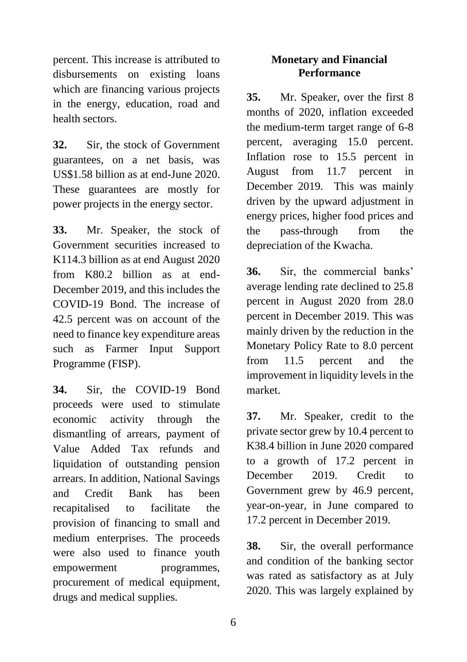percent. This increase is attributed to disbursements on existing loans which are financing various projects in the energy, education, road and health sectors.

**32.** Sir, the stock of Government guarantees, on a net basis, was US\$1.58 billion as at end-June 2020. These guarantees are mostly for power projects in the energy sector.

**33.** Mr. Speaker, the stock of Government securities increased to K114.3 billion as at end August 2020 from K80.2 billion as at end-December 2019, and this includes the COVID-19 Bond. The increase of 42.5 percent was on account of the need to finance key expenditure areas such as Farmer Input Support Programme (FISP).

**34.** Sir, the COVID-19 Bond proceeds were used to stimulate economic activity through the dismantling of arrears, payment of Value Added Tax refunds and liquidation of outstanding pension arrears. In addition, National Savings and Credit Bank has been recapitalised to facilitate the provision of financing to small and medium enterprises. The proceeds were also used to finance youth empowerment programmes, procurement of medical equipment, drugs and medical supplies.

## **Monetary and Financial Performance**

**35.** Mr. Speaker, over the first 8 months of 2020, inflation exceeded the medium-term target range of 6-8 percent, averaging 15.0 percent. Inflation rose to 15.5 percent in August from 11.7 percent in December 2019. This was mainly driven by the upward adjustment in energy prices, higher food prices and the pass-through from the depreciation of the Kwacha.

**36.** Sir, the commercial banks' average lending rate declined to 25.8 percent in August 2020 from 28.0 percent in December 2019. This was mainly driven by the reduction in the Monetary Policy Rate to 8.0 percent from 11.5 percent and the improvement in liquidity levels in the market.

**37.** Mr. Speaker, credit to the private sector grew by 10.4 percent to K38.4 billion in June 2020 compared to a growth of 17.2 percent in December 2019. Credit to Government grew by 46.9 percent, year-on-year, in June compared to 17.2 percent in December 2019.

**38.** Sir, the overall performance and condition of the banking sector was rated as satisfactory as at July 2020. This was largely explained by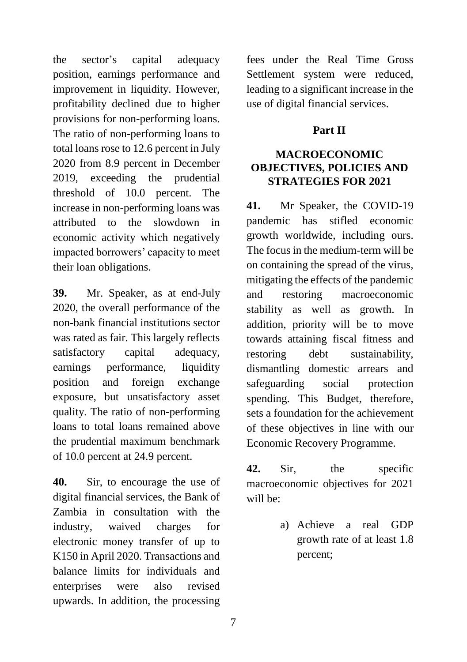the sector's capital adequacy position, earnings performance and improvement in liquidity. However, profitability declined due to higher provisions for non-performing loans. The ratio of non-performing loans to total loans rose to 12.6 percent in July 2020 from 8.9 percent in December 2019, exceeding the prudential threshold of 10.0 percent. The increase in non-performing loans was attributed to the slowdown in economic activity which negatively impacted borrowers' capacity to meet their loan obligations.

**39.** Mr. Speaker, as at end-July 2020, the overall performance of the non-bank financial institutions sector was rated as fair. This largely reflects satisfactory capital adequacy, earnings performance, liquidity position and foreign exchange exposure, but unsatisfactory asset quality. The ratio of non-performing loans to total loans remained above the prudential maximum benchmark of 10.0 percent at 24.9 percent.

**40.** Sir, to encourage the use of digital financial services, the Bank of Zambia in consultation with the industry, waived charges for electronic money transfer of up to K150 in April 2020. Transactions and balance limits for individuals and enterprises were also revised upwards. In addition, the processing fees under the Real Time Gross Settlement system were reduced, leading to a significant increase in the use of digital financial services.

## **Part II**

# **MACROECONOMIC OBJECTIVES, POLICIES AND STRATEGIES FOR 2021**

**41.** Mr Speaker, the COVID-19 pandemic has stifled economic growth worldwide, including ours. The focus in the medium-term will be on containing the spread of the virus, mitigating the effects of the pandemic and restoring macroeconomic stability as well as growth. In addition, priority will be to move towards attaining fiscal fitness and restoring debt sustainability, dismantling domestic arrears and safeguarding social protection spending. This Budget, therefore, sets a foundation for the achievement of these objectives in line with our Economic Recovery Programme.

**42.** Sir, the specific macroeconomic objectives for 2021 will be:

> a) Achieve a real GDP growth rate of at least 1.8 percent;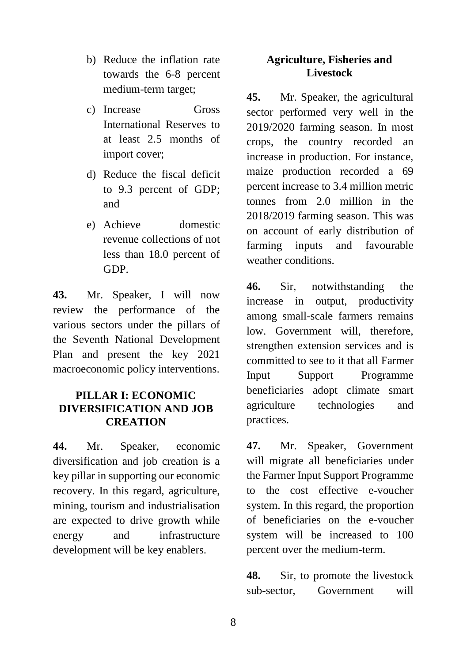- b) Reduce the inflation rate towards the 6-8 percent medium-term target;
- c) Increase Gross International Reserves to at least 2.5 months of import cover;
- d) Reduce the fiscal deficit to 9.3 percent of GDP; and
- e) Achieve domestic revenue collections of not less than 18.0 percent of GDP.

**43.** Mr. Speaker, I will now review the performance of the various sectors under the pillars of the Seventh National Development Plan and present the key 2021 macroeconomic policy interventions.

## **PILLAR I: ECONOMIC DIVERSIFICATION AND JOB CREATION**

**44.** Mr. Speaker, economic diversification and job creation is a key pillar in supporting our economic recovery. In this regard, agriculture, mining, tourism and industrialisation are expected to drive growth while energy and infrastructure development will be key enablers.

### **Agriculture, Fisheries and Livestock**

**45.** Mr. Speaker, the agricultural sector performed very well in the 2019/2020 farming season. In most crops, the country recorded an increase in production. For instance, maize production recorded a 69 percent increase to 3.4 million metric tonnes from 2.0 million in the 2018/2019 farming season. This was on account of early distribution of farming inputs and favourable weather conditions.

**46.** Sir, notwithstanding the increase in output, productivity among small-scale farmers remains low. Government will, therefore, strengthen extension services and is committed to see to it that all Farmer Input Support Programme beneficiaries adopt climate smart agriculture technologies and practices.

**47.** Mr. Speaker, Government will migrate all beneficiaries under the Farmer Input Support Programme to the cost effective e-voucher system. In this regard, the proportion of beneficiaries on the e-voucher system will be increased to 100 percent over the medium-term.

**48.** Sir, to promote the livestock sub-sector, Government will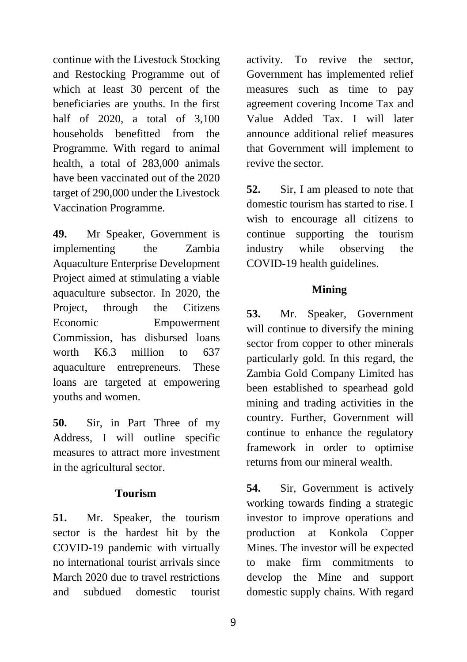continue with the Livestock Stocking and Restocking Programme out of which at least 30 percent of the beneficiaries are youths. In the first half of 2020, a total of 3,100 households benefitted from the Programme. With regard to animal health, a total of 283,000 animals have been vaccinated out of the 2020 target of 290,000 under the Livestock Vaccination Programme.

**49.** Mr Speaker, Government is implementing the Zambia Aquaculture Enterprise Development Project aimed at stimulating a viable aquaculture subsector. In 2020, the Project, through the Citizens Economic Empowerment Commission, has disbursed loans worth K6.3 million to 637 aquaculture entrepreneurs. These loans are targeted at empowering youths and women.

**50.** Sir, in Part Three of my Address, I will outline specific measures to attract more investment in the agricultural sector.

### **Tourism**

**51.** Mr. Speaker, the tourism sector is the hardest hit by the COVID-19 pandemic with virtually no international tourist arrivals since March 2020 due to travel restrictions and subdued domestic tourist

activity. To revive the sector, Government has implemented relief measures such as time to pay agreement covering Income Tax and Value Added Tax. I will later announce additional relief measures that Government will implement to revive the sector.

**52.** Sir, I am pleased to note that domestic tourism has started to rise. I wish to encourage all citizens to continue supporting the tourism industry while observing the COVID-19 health guidelines.

# **Mining**

**53.** Mr. Speaker, Government will continue to diversify the mining sector from copper to other minerals particularly gold. In this regard, the Zambia Gold Company Limited has been established to spearhead gold mining and trading activities in the country. Further, Government will continue to enhance the regulatory framework in order to optimise returns from our mineral wealth.

**54.** Sir, Government is actively working towards finding a strategic investor to improve operations and production at Konkola Copper Mines. The investor will be expected to make firm commitments to develop the Mine and support domestic supply chains. With regard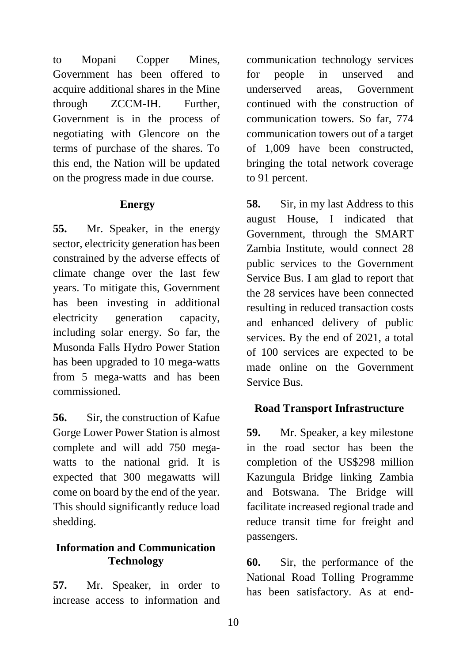to Mopani Copper Mines, Government has been offered to acquire additional shares in the Mine through ZCCM-IH. Further, Government is in the process of negotiating with Glencore on the terms of purchase of the shares. To this end, the Nation will be updated on the progress made in due course.

#### **Energy**

**55.** Mr. Speaker, in the energy sector, electricity generation has been constrained by the adverse effects of climate change over the last few years. To mitigate this, Government has been investing in additional electricity generation capacity, including solar energy. So far, the Musonda Falls Hydro Power Station has been upgraded to 10 mega-watts from 5 mega-watts and has been commissioned.

**56.** Sir, the construction of Kafue Gorge Lower Power Station is almost complete and will add 750 megawatts to the national grid. It is expected that 300 megawatts will come on board by the end of the year. This should significantly reduce load shedding.

## **Information and Communication Technology**

**57.** Mr. Speaker, in order to increase access to information and communication technology services for people in unserved and underserved areas, Government continued with the construction of communication towers. So far, 774 communication towers out of a target of 1,009 have been constructed, bringing the total network coverage to 91 percent.

**58.** Sir, in my last Address to this august House, I indicated that Government, through the SMART Zambia Institute, would connect 28 public services to the Government Service Bus. I am glad to report that the 28 services have been connected resulting in reduced transaction costs and enhanced delivery of public services. By the end of 2021, a total of 100 services are expected to be made online on the Government Service Bus.

### **Road Transport Infrastructure**

**59.** Mr. Speaker, a key milestone in the road sector has been the completion of the US\$298 million Kazungula Bridge linking Zambia and Botswana. The Bridge will facilitate increased regional trade and reduce transit time for freight and passengers.

**60.** Sir, the performance of the National Road Tolling Programme has been satisfactory. As at end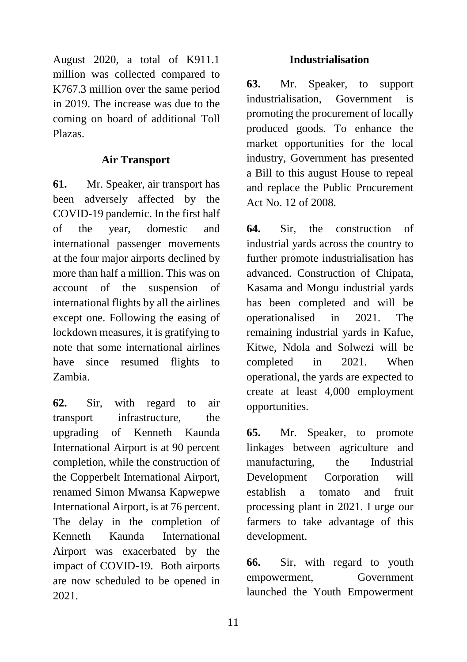August 2020, a total of K911.1 million was collected compared to K767.3 million over the same period in 2019. The increase was due to the coming on board of additional Toll Plazas.

## **Air Transport**

**61.** Mr. Speaker, air transport has been adversely affected by the COVID-19 pandemic. In the first half of the year, domestic and international passenger movements at the four major airports declined by more than half a million. This was on account of the suspension of international flights by all the airlines except one. Following the easing of lockdown measures, it is gratifying to note that some international airlines have since resumed flights to Zambia.

**62.** Sir, with regard to air transport infrastructure, the upgrading of Kenneth Kaunda International Airport is at 90 percent completion, while the construction of the Copperbelt International Airport, renamed Simon Mwansa Kapwepwe International Airport, is at 76 percent. The delay in the completion of Kenneth Kaunda International Airport was exacerbated by the impact of COVID-19. Both airports are now scheduled to be opened in 2021.

### **Industrialisation**

**63.** Mr. Speaker, to support industrialisation, Government is promoting the procurement of locally produced goods. To enhance the market opportunities for the local industry, Government has presented a Bill to this august House to repeal and replace the Public Procurement Act No. 12 of 2008.

**64.** Sir, the construction of industrial yards across the country to further promote industrialisation has advanced. Construction of Chipata, Kasama and Mongu industrial yards has been completed and will be operationalised in 2021. The remaining industrial yards in Kafue, Kitwe, Ndola and Solwezi will be completed in 2021. When operational, the yards are expected to create at least 4,000 employment opportunities.

**65.** Mr. Speaker, to promote linkages between agriculture and manufacturing, the Industrial Development Corporation will establish a tomato and fruit processing plant in 2021. I urge our farmers to take advantage of this development.

**66.** Sir, with regard to youth empowerment, Government launched the Youth Empowerment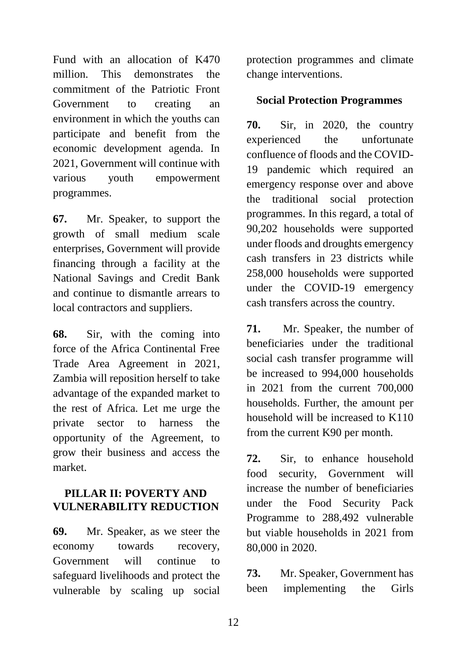Fund with an allocation of K470 million. This demonstrates the commitment of the Patriotic Front Government to creating an environment in which the youths can participate and benefit from the economic development agenda. In 2021, Government will continue with various youth empowerment programmes.

**67.** Mr. Speaker, to support the growth of small medium scale enterprises, Government will provide financing through a facility at the National Savings and Credit Bank and continue to dismantle arrears to local contractors and suppliers.

**68.** Sir, with the coming into force of the Africa Continental Free Trade Area Agreement in 2021, Zambia will reposition herself to take advantage of the expanded market to the rest of Africa. Let me urge the private sector to harness the opportunity of the Agreement, to grow their business and access the market.

### **PILLAR II: POVERTY AND VULNERABILITY REDUCTION**

**69.** Mr. Speaker, as we steer the economy towards recovery, Government will continue to safeguard livelihoods and protect the vulnerable by scaling up social protection programmes and climate change interventions.

### **Social Protection Programmes**

**70.** Sir, in 2020, the country experienced the unfortunate confluence of floods and the COVID-19 pandemic which required an emergency response over and above the traditional social protection programmes. In this regard, a total of 90,202 households were supported under floods and droughts emergency cash transfers in 23 districts while 258,000 households were supported under the COVID-19 emergency cash transfers across the country.

**71.** Mr. Speaker, the number of beneficiaries under the traditional social cash transfer programme will be increased to 994,000 households in 2021 from the current 700,000 households. Further, the amount per household will be increased to K110 from the current K90 per month.

**72.** Sir, to enhance household food security, Government will increase the number of beneficiaries under the Food Security Pack Programme to 288,492 vulnerable but viable households in 2021 from 80,000 in 2020.

**73.** Mr. Speaker, Government has been implementing the Girls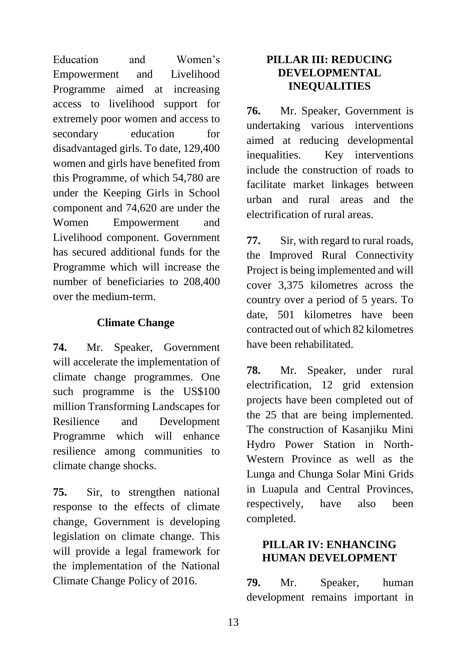Education and Women's Empowerment and Livelihood Programme aimed at increasing access to livelihood support for extremely poor women and access to secondary education for disadvantaged girls. To date, 129,400 women and girls have benefited from this Programme, of which 54,780 are under the Keeping Girls in School component and 74,620 are under the Women Empowerment and Livelihood component. Government has secured additional funds for the Programme which will increase the number of beneficiaries to 208,400 over the medium-term.

## **Climate Change**

**74.** Mr. Speaker, Government will accelerate the implementation of climate change programmes. One such programme is the US\$100 million Transforming Landscapes for Resilience and Development Programme which will enhance resilience among communities to climate change shocks.

**75.** Sir, to strengthen national response to the effects of climate change, Government is developing legislation on climate change. This will provide a legal framework for the implementation of the National Climate Change Policy of 2016.

### **PILLAR III: REDUCING DEVELOPMENTAL INEQUALITIES**

**76.** Mr. Speaker, Government is undertaking various interventions aimed at reducing developmental inequalities. Key interventions include the construction of roads to facilitate market linkages between urban and rural areas and the electrification of rural areas.

**77.** Sir, with regard to rural roads, the Improved Rural Connectivity Project is being implemented and will cover 3,375 kilometres across the country over a period of 5 years. To date, 501 kilometres have been contracted out of which 82 kilometres have been rehabilitated.

**78.** Mr. Speaker, under rural electrification, 12 grid extension projects have been completed out of the 25 that are being implemented. The construction of Kasanjiku Mini Hydro Power Station in North-Western Province as well as the Lunga and Chunga Solar Mini Grids in Luapula and Central Provinces, respectively, have also been completed.

### **PILLAR IV: ENHANCING HUMAN DEVELOPMENT**

**79.** Mr. Speaker, human development remains important in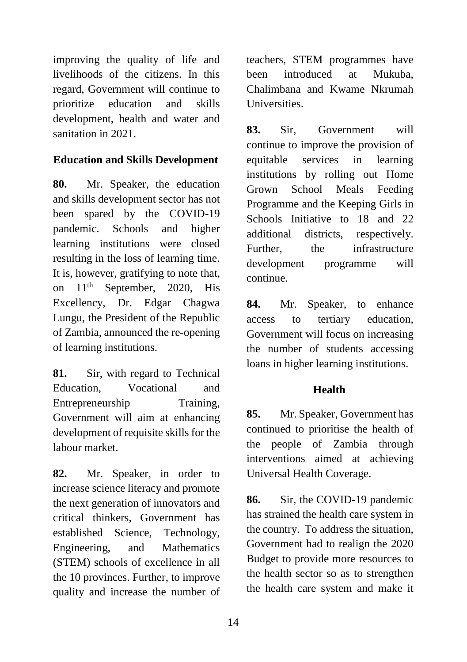improving the quality of life and livelihoods of the citizens. In this regard, Government will continue to prioritize education and skills development, health and water and sanitation in 2021.

# **Education and Skills Development**

**80.** Mr. Speaker, the education and skills development sector has not been spared by the COVID-19 pandemic. Schools and higher learning institutions were closed resulting in the loss of learning time. It is, however, gratifying to note that, on  $11<sup>th</sup>$  September, 2020, His Excellency, Dr. Edgar Chagwa Lungu, the President of the Republic of Zambia, announced the re-opening of learning institutions.

**81.** Sir, with regard to Technical Education, Vocational and Entrepreneurship Training, Government will aim at enhancing development of requisite skills for the labour market.

**82.** Mr. Speaker, in order to increase science literacy and promote the next generation of innovators and critical thinkers, Government has established Science, Technology, Engineering, and Mathematics (STEM) schools of excellence in all the 10 provinces. Further, to improve quality and increase the number of teachers, STEM programmes have been introduced at Mukuba, Chalimbana and Kwame Nkrumah **Universities.** 

**83.** Sir, Government will continue to improve the provision of equitable services in learning institutions by rolling out Home Grown School Meals Feeding Programme and the Keeping Girls in Schools Initiative to 18 and 22 additional districts, respectively. Further, the infrastructure development programme will continue.

**84.** Mr. Speaker, to enhance access to tertiary education, Government will focus on increasing the number of students accessing loans in higher learning institutions.

# **Health**

**85.** Mr. Speaker, Government has continued to prioritise the health of the people of Zambia through interventions aimed at achieving Universal Health Coverage.

**86.** Sir, the COVID-19 pandemic has strained the health care system in the country. To address the situation, Government had to realign the 2020 Budget to provide more resources to the health sector so as to strengthen the health care system and make it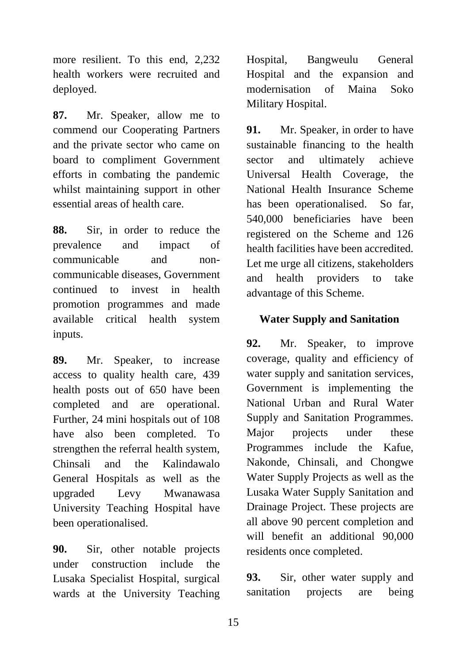more resilient. To this end, 2,232 health workers were recruited and deployed.

**87.** Mr. Speaker, allow me to commend our Cooperating Partners and the private sector who came on board to compliment Government efforts in combating the pandemic whilst maintaining support in other essential areas of health care.

**88.** Sir, in order to reduce the prevalence and impact of communicable and noncommunicable diseases, Government continued to invest in health promotion programmes and made available critical health system inputs.

**89.** Mr. Speaker, to increase access to quality health care, 439 health posts out of 650 have been completed and are operational. Further, 24 mini hospitals out of 108 have also been completed. To strengthen the referral health system, Chinsali and the Kalindawalo General Hospitals as well as the upgraded Levy Mwanawasa University Teaching Hospital have been operationalised.

**90.** Sir, other notable projects under construction include the Lusaka Specialist Hospital, surgical wards at the University Teaching Hospital, Bangweulu General Hospital and the expansion and modernisation of Maina Soko Military Hospital.

**91.** Mr. Speaker, in order to have sustainable financing to the health sector and ultimately achieve Universal Health Coverage, the National Health Insurance Scheme has been operationalised. So far, 540,000 beneficiaries have been registered on the Scheme and 126 health facilities have been accredited. Let me urge all citizens, stakeholders and health providers to take advantage of this Scheme.

# **Water Supply and Sanitation**

**92.** Mr. Speaker, to improve coverage, quality and efficiency of water supply and sanitation services, Government is implementing the National Urban and Rural Water Supply and Sanitation Programmes. Major projects under these Programmes include the Kafue, Nakonde, Chinsali, and Chongwe Water Supply Projects as well as the Lusaka Water Supply Sanitation and Drainage Project. These projects are all above 90 percent completion and will benefit an additional 90,000 residents once completed.

**93.** Sir, other water supply and sanitation projects are being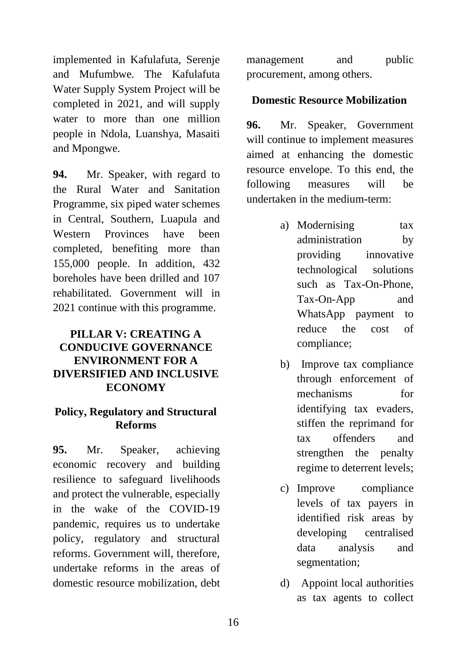implemented in Kafulafuta, Serenje and Mufumbwe. The Kafulafuta Water Supply System Project will be completed in 2021, and will supply water to more than one million people in Ndola, Luanshya, Masaiti and Mpongwe.

**94.** Mr. Speaker, with regard to the Rural Water and Sanitation Programme, six piped water schemes in Central, Southern, Luapula and Western Provinces have been completed, benefiting more than 155,000 people. In addition, 432 boreholes have been drilled and 107 rehabilitated. Government will in 2021 continue with this programme.

# **PILLAR V: CREATING A CONDUCIVE GOVERNANCE ENVIRONMENT FOR A DIVERSIFIED AND INCLUSIVE ECONOMY**

#### **Policy, Regulatory and Structural Reforms**

**95.** Mr. Speaker, achieving economic recovery and building resilience to safeguard livelihoods and protect the vulnerable, especially in the wake of the COVID-19 pandemic, requires us to undertake policy, regulatory and structural reforms. Government will, therefore, undertake reforms in the areas of domestic resource mobilization, debt management and public procurement, among others.

## **Domestic Resource Mobilization**

**96.** Mr. Speaker, Government will continue to implement measures aimed at enhancing the domestic resource envelope. To this end, the following measures will be undertaken in the medium-term:

- a) Modernising tax administration by providing innovative technological solutions such as Tax-On-Phone, Tax-On-App and WhatsApp payment to reduce the cost of compliance;
- b) Improve tax compliance through enforcement of mechanisms for identifying tax evaders, stiffen the reprimand for tax offenders and strengthen the penalty regime to deterrent levels;
- c) Improve compliance levels of tax payers in identified risk areas by developing centralised data analysis and segmentation;
- d) Appoint local authorities as tax agents to collect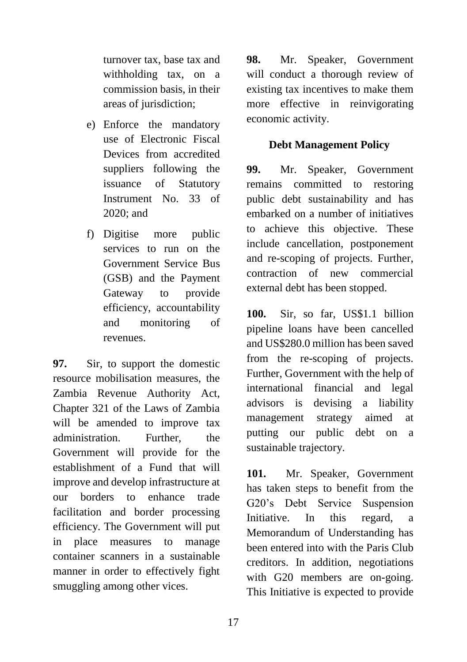turnover tax, base tax and withholding tax, on a commission basis, in their areas of jurisdiction;

- e) Enforce the mandatory use of Electronic Fiscal Devices from accredited suppliers following the issuance of Statutory Instrument No. 33 of 2020; and
- f) Digitise more public services to run on the Government Service Bus (GSB) and the Payment Gateway to provide efficiency, accountability and monitoring of revenues.

**97.** Sir, to support the domestic resource mobilisation measures, the Zambia Revenue Authority Act, Chapter 321 of the Laws of Zambia will be amended to improve tax administration. Further, the Government will provide for the establishment of a Fund that will improve and develop infrastructure at our borders to enhance trade facilitation and border processing efficiency. The Government will put in place measures to manage container scanners in a sustainable manner in order to effectively fight smuggling among other vices.

**98.** Mr. Speaker, Government will conduct a thorough review of existing tax incentives to make them more effective in reinvigorating economic activity.

## **Debt Management Policy**

**99.** Mr. Speaker, Government remains committed to restoring public debt sustainability and has embarked on a number of initiatives to achieve this objective. These include cancellation, postponement and re-scoping of projects. Further, contraction of new commercial external debt has been stopped.

**100.** Sir, so far, US\$1.1 billion pipeline loans have been cancelled and US\$280.0 million has been saved from the re-scoping of projects. Further, Government with the help of international financial and legal advisors is devising a liability management strategy aimed at putting our public debt on a sustainable trajectory.

**101.** Mr. Speaker, Government has taken steps to benefit from the G20's Debt Service Suspension Initiative. In this regard, a Memorandum of Understanding has been entered into with the Paris Club creditors. In addition, negotiations with G20 members are on-going. This Initiative is expected to provide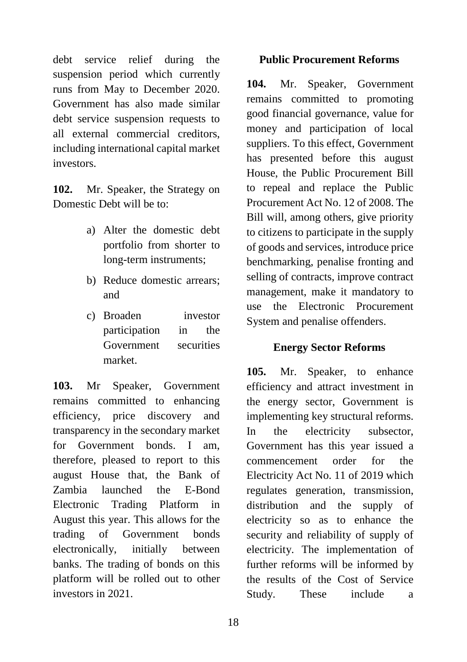debt service relief during the suspension period which currently runs from May to December 2020. Government has also made similar debt service suspension requests to all external commercial creditors, including international capital market investors.

**102.** Mr. Speaker, the Strategy on Domestic Debt will be to:

- a) Alter the domestic debt portfolio from shorter to long-term instruments;
- b) Reduce domestic arrears; and
- c) Broaden investor participation in the Government securities market.

**103.** Mr Speaker, Government remains committed to enhancing efficiency, price discovery and transparency in the secondary market for Government bonds. I am, therefore, pleased to report to this august House that, the Bank of Zambia launched the E-Bond Electronic Trading Platform in August this year. This allows for the trading of Government bonds electronically, initially between banks. The trading of bonds on this platform will be rolled out to other investors in 2021.

### **Public Procurement Reforms**

**104.** Mr. Speaker, Government remains committed to promoting good financial governance, value for money and participation of local suppliers. To this effect, Government has presented before this august House, the Public Procurement Bill to repeal and replace the Public Procurement Act No. 12 of 2008. The Bill will, among others, give priority to citizens to participate in the supply of goods and services, introduce price benchmarking, penalise fronting and selling of contracts, improve contract management, make it mandatory to use the Electronic Procurement System and penalise offenders.

### **Energy Sector Reforms**

**105.** Mr. Speaker, to enhance efficiency and attract investment in the energy sector, Government is implementing key structural reforms. In the electricity subsector, Government has this year issued a commencement order for the Electricity Act No. 11 of 2019 which regulates generation, transmission, distribution and the supply of electricity so as to enhance the security and reliability of supply of electricity. The implementation of further reforms will be informed by the results of the Cost of Service Study. These include a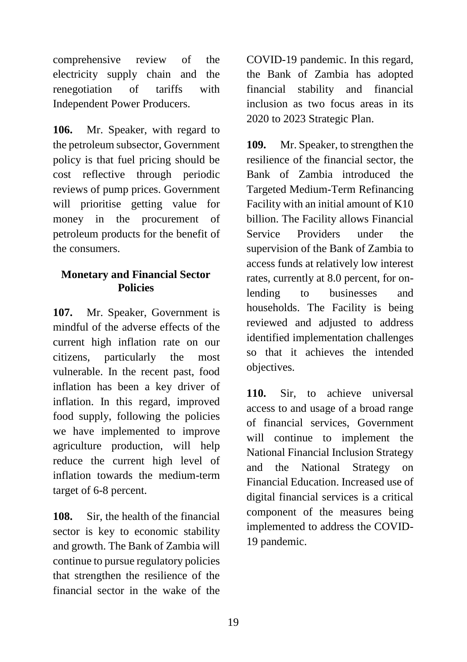comprehensive review of the electricity supply chain and the renegotiation of tariffs with Independent Power Producers.

**106.** Mr. Speaker, with regard to the petroleum subsector, Government policy is that fuel pricing should be cost reflective through periodic reviews of pump prices. Government will prioritise getting value for money in the procurement of petroleum products for the benefit of the consumers.

#### **Monetary and Financial Sector Policies**

**107.** Mr. Speaker, Government is mindful of the adverse effects of the current high inflation rate on our citizens, particularly the most vulnerable. In the recent past, food inflation has been a key driver of inflation. In this regard, improved food supply, following the policies we have implemented to improve agriculture production, will help reduce the current high level of inflation towards the medium-term target of 6-8 percent.

**108.** Sir, the health of the financial sector is key to economic stability and growth. The Bank of Zambia will continue to pursue regulatory policies that strengthen the resilience of the financial sector in the wake of the

COVID-19 pandemic. In this regard, the Bank of Zambia has adopted financial stability and financial inclusion as two focus areas in its 2020 to 2023 Strategic Plan.

**109.** Mr. Speaker, to strengthen the resilience of the financial sector, the Bank of Zambia introduced the Targeted Medium-Term Refinancing Facility with an initial amount of K10 billion. The Facility allows Financial Service Providers under the supervision of the Bank of Zambia to access funds at relatively low interest rates, currently at 8.0 percent, for onlending to businesses and households. The Facility is being reviewed and adjusted to address identified implementation challenges so that it achieves the intended objectives.

**110.** Sir, to achieve universal access to and usage of a broad range of financial services, Government will continue to implement the National Financial Inclusion Strategy and the National Strategy on Financial Education. Increased use of digital financial services is a critical component of the measures being implemented to address the COVID-19 pandemic.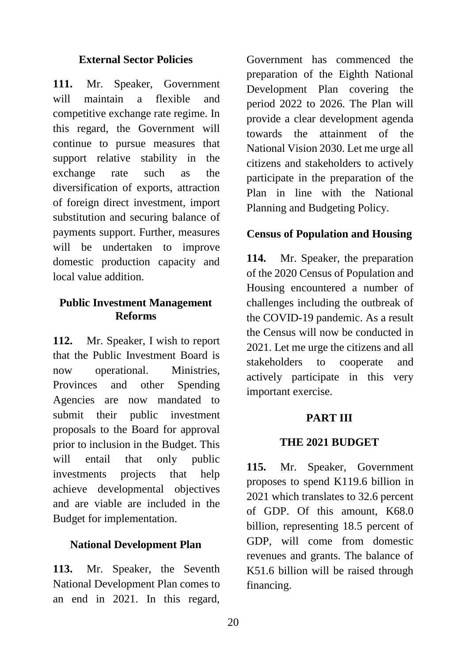#### **External Sector Policies**

**111.** Mr. Speaker, Government will maintain a flexible and competitive exchange rate regime. In this regard, the Government will continue to pursue measures that support relative stability in the exchange rate such as the diversification of exports, attraction of foreign direct investment, import substitution and securing balance of payments support. Further, measures will be undertaken to improve domestic production capacity and local value addition.

## **Public Investment Management Reforms**

**112.** Mr. Speaker, I wish to report that the Public Investment Board is now operational. Ministries, Provinces and other Spending Agencies are now mandated to submit their public investment proposals to the Board for approval prior to inclusion in the Budget. This will entail that only public investments projects that help achieve developmental objectives and are viable are included in the Budget for implementation.

### **National Development Plan**

**113.** Mr. Speaker, the Seventh National Development Plan comes to an end in 2021. In this regard,

Government has commenced the preparation of the Eighth National Development Plan covering the period 2022 to 2026. The Plan will provide a clear development agenda towards the attainment of the National Vision 2030. Let me urge all citizens and stakeholders to actively participate in the preparation of the Plan in line with the National Planning and Budgeting Policy.

## **Census of Population and Housing**

**114.** Mr. Speaker, the preparation of the 2020 Census of Population and Housing encountered a number of challenges including the outbreak of the COVID-19 pandemic. As a result the Census will now be conducted in 2021. Let me urge the citizens and all stakeholders to cooperate and actively participate in this very important exercise.

### **PART III**

### **THE 2021 BUDGET**

**115.** Mr. Speaker, Government proposes to spend K119.6 billion in 2021 which translates to 32.6 percent of GDP. Of this amount, K68.0 billion, representing 18.5 percent of GDP, will come from domestic revenues and grants. The balance of K51.6 billion will be raised through financing.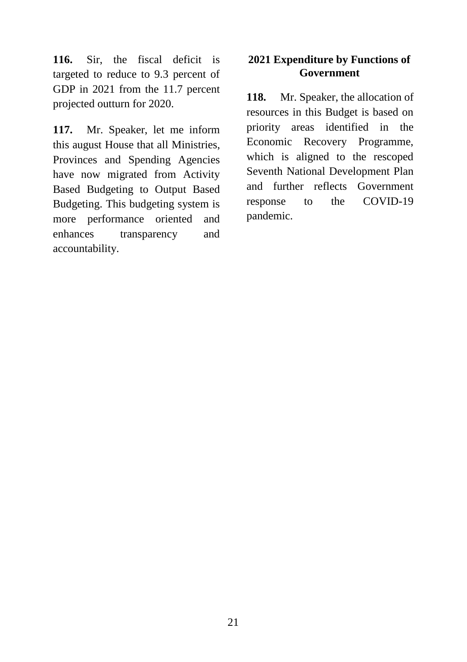**116.** Sir, the fiscal deficit is targeted to reduce to 9.3 percent of GDP in 2021 from the 11.7 percent projected outturn for 2020.

**117.** Mr. Speaker, let me inform this august House that all Ministries, Provinces and Spending Agencies have now migrated from Activity Based Budgeting to Output Based Budgeting. This budgeting system is more performance oriented and enhances transparency and accountability.

### **2021 Expenditure by Functions of Government**

**118.** Mr. Speaker, the allocation of resources in this Budget is based on priority areas identified in the Economic Recovery Programme, which is aligned to the rescoped Seventh National Development Plan and further reflects Government response to the COVID-19 pandemic.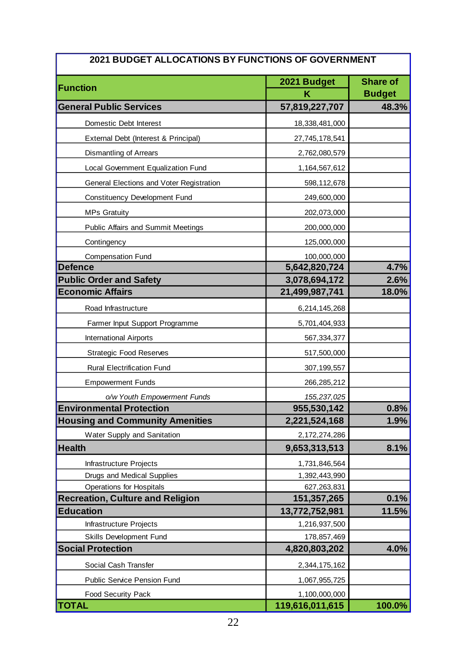| 2021 BUDGET ALLOCATIONS BY FUNCTIONS OF GOVERNMENT |                 |                 |  |  |
|----------------------------------------------------|-----------------|-----------------|--|--|
|                                                    | 2021 Budget     | <b>Share of</b> |  |  |
| <b>Function</b>                                    | κ               | <b>Budget</b>   |  |  |
| <b>General Public Services</b>                     | 57,819,227,707  | 48.3%           |  |  |
| Domestic Debt Interest                             | 18,338,481,000  |                 |  |  |
| External Debt (Interest & Principal)               | 27,745,178,541  |                 |  |  |
| Dismantling of Arrears                             | 2,762,080,579   |                 |  |  |
| Local Government Equalization Fund                 | 1,164,567,612   |                 |  |  |
| General Elections and Voter Registration           | 598,112,678     |                 |  |  |
| Constituency Development Fund                      | 249,600,000     |                 |  |  |
| <b>MPs Gratuity</b>                                | 202,073,000     |                 |  |  |
| Public Affairs and Summit Meetings                 | 200,000,000     |                 |  |  |
| Contingency                                        | 125,000,000     |                 |  |  |
| <b>Compensation Fund</b>                           | 100,000,000     |                 |  |  |
| <b>Defence</b>                                     | 5,642,820,724   | 4.7%            |  |  |
| <b>Public Order and Safety</b>                     | 3,078,694,172   | 2.6%            |  |  |
| <b>Economic Affairs</b>                            | 21,499,987,741  | 18.0%           |  |  |
| Road Infrastructure                                | 6,214,145,268   |                 |  |  |
| Farmer Input Support Programme                     | 5,701,404,933   |                 |  |  |
| <b>International Airports</b>                      | 567, 334, 377   |                 |  |  |
| <b>Strategic Food Reserves</b>                     | 517,500,000     |                 |  |  |
| <b>Rural Electrification Fund</b>                  | 307, 199, 557   |                 |  |  |
| <b>Empowerment Funds</b>                           | 266,285,212     |                 |  |  |
| o/w Youth Empowerment Funds                        | 155,237,025     |                 |  |  |
| <b>Environmental Protection</b>                    | 955,530,142     | 0.8%            |  |  |
| <b>Housing and Community Amenities</b>             | 2,221,524,168   | 1.9%            |  |  |
| <b>Water Supply and Sanitation</b>                 | 2,172,274,286   |                 |  |  |
| <b>Health</b>                                      | 9,653,313,513   | 8.1%            |  |  |
| Infrastructure Projects                            | 1,731,846,564   |                 |  |  |
| Drugs and Medical Supplies                         | 1,392,443,990   |                 |  |  |
| <b>Operations for Hospitals</b>                    | 627,263,831     |                 |  |  |
| <b>Recreation, Culture and Religion</b>            | 151, 357, 265   | 0.1%            |  |  |
| <b>Education</b>                                   | 13,772,752,981  | 11.5%           |  |  |
| Infrastructure Projects                            | 1,216,937,500   |                 |  |  |
| Skills Development Fund                            | 178,857,469     |                 |  |  |
| <b>Social Protection</b>                           | 4,820,803,202   | 4.0%            |  |  |
| Social Cash Transfer                               | 2,344,175,162   |                 |  |  |
| <b>Public Service Pension Fund</b>                 | 1,067,955,725   |                 |  |  |
| Food Security Pack                                 | 1,100,000,000   |                 |  |  |
| <b>TOTAL</b>                                       | 119,616,011,615 | 100.0%          |  |  |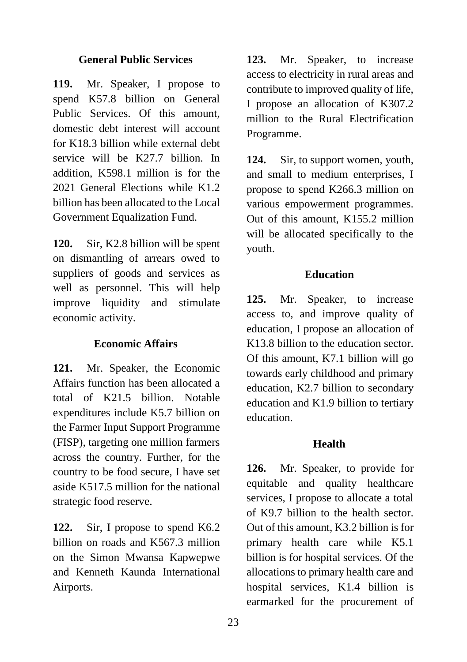#### **General Public Services**

**119.** Mr. Speaker, I propose to spend K57.8 billion on General Public Services. Of this amount, domestic debt interest will account for K18.3 billion while external debt service will be K27.7 billion. In addition, K598.1 million is for the 2021 General Elections while K1.2 billion has been allocated to the Local Government Equalization Fund.

**120.** Sir, K2.8 billion will be spent on dismantling of arrears owed to suppliers of goods and services as well as personnel. This will help improve liquidity and stimulate economic activity.

### **Economic Affairs**

**121.** Mr. Speaker, the Economic Affairs function has been allocated a total of K21.5 billion. Notable expenditures include K5.7 billion on the Farmer Input Support Programme (FISP), targeting one million farmers across the country. Further, for the country to be food secure, I have set aside K517.5 million for the national strategic food reserve.

**122.** Sir, I propose to spend K6.2 billion on roads and K567.3 million on the Simon Mwansa Kapwepwe and Kenneth Kaunda International Airports.

**123.** Mr. Speaker, to increase access to electricity in rural areas and contribute to improved quality of life, I propose an allocation of K307.2 million to the Rural Electrification Programme.

**124.** Sir, to support women, youth, and small to medium enterprises, I propose to spend K266.3 million on various empowerment programmes. Out of this amount, K155.2 million will be allocated specifically to the youth.

#### **Education**

**125.** Mr. Speaker, to increase access to, and improve quality of education, I propose an allocation of K13.8 billion to the education sector. Of this amount, K7.1 billion will go towards early childhood and primary education, K2.7 billion to secondary education and K1.9 billion to tertiary education.

#### **Health**

**126.** Mr. Speaker, to provide for equitable and quality healthcare services, I propose to allocate a total of K9.7 billion to the health sector. Out of this amount, K3.2 billion is for primary health care while K5.1 billion is for hospital services. Of the allocations to primary health care and hospital services, K1.4 billion is earmarked for the procurement of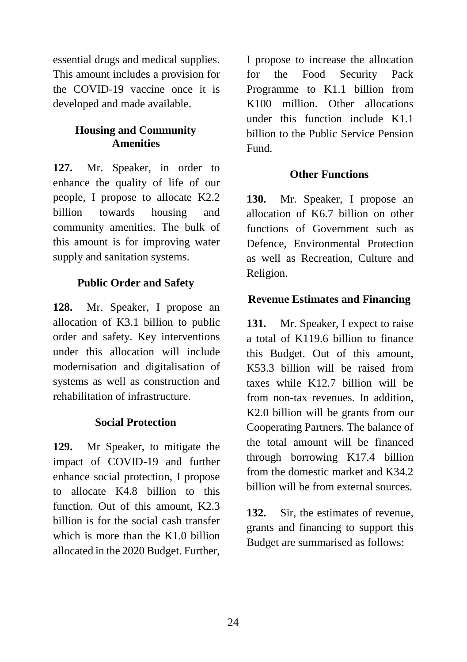essential drugs and medical supplies. This amount includes a provision for the COVID-19 vaccine once it is developed and made available.

# **Housing and Community Amenities**

**127.** Mr. Speaker, in order to enhance the quality of life of our people, I propose to allocate K2.2 billion towards housing and community amenities. The bulk of this amount is for improving water supply and sanitation systems.

## **Public Order and Safety**

**128.** Mr. Speaker, I propose an allocation of K3.1 billion to public order and safety. Key interventions under this allocation will include modernisation and digitalisation of systems as well as construction and rehabilitation of infrastructure.

#### **Social Protection**

**129.** Mr Speaker, to mitigate the impact of COVID-19 and further enhance social protection, I propose to allocate K4.8 billion to this function. Out of this amount, K2.3 billion is for the social cash transfer which is more than the K1.0 billion allocated in the 2020 Budget. Further,

I propose to increase the allocation for the Food Security Pack Programme to K1.1 billion from K100 million. Other allocations under this function include K1.1 billion to the Public Service Pension Fund.

#### **Other Functions**

**130.** Mr. Speaker, I propose an allocation of K6.7 billion on other functions of Government such as Defence, Environmental Protection as well as Recreation, Culture and Religion.

#### **Revenue Estimates and Financing**

131. Mr. Speaker, I expect to raise a total of K119.6 billion to finance this Budget. Out of this amount, K53.3 billion will be raised from taxes while K12.7 billion will be from non-tax revenues. In addition, K2.0 billion will be grants from our Cooperating Partners. The balance of the total amount will be financed through borrowing K17.4 billion from the domestic market and K34.2 billion will be from external sources.

**132.** Sir, the estimates of revenue, grants and financing to support this Budget are summarised as follows: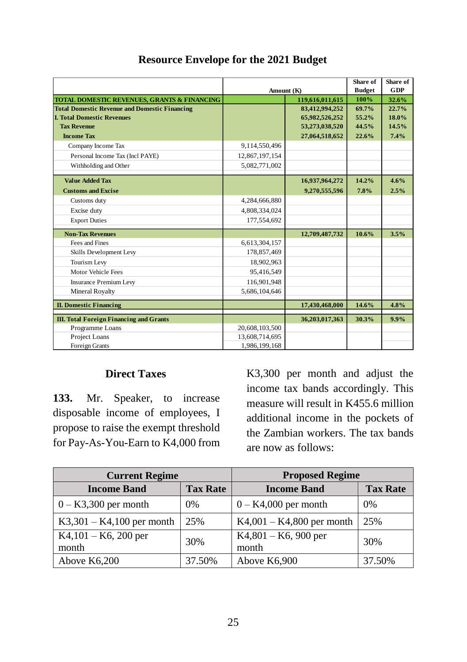|                                                                   | Amount (K)     |                 | Share of<br><b>Budget</b> | Share of<br><b>GDP</b> |
|-------------------------------------------------------------------|----------------|-----------------|---------------------------|------------------------|
| <b>TOTAL DOMESTIC REVENUES, GRANTS &amp; FINANCING</b>            |                | 119,616,011,615 | 100%                      | 32.6%                  |
| <b>Total Domestic Revenue and Domestic Financing</b>              |                | 83,412,994,252  | 69.7%                     | 22.7%                  |
| <b>I. Total Domestic Revenues</b>                                 |                | 65,982,526,252  | 55.2%                     | 18.0%                  |
| <b>Tax Revenue</b>                                                |                | 53,273,038,520  | 44.5%                     | 14.5%                  |
| <b>Income Tax</b>                                                 |                | 27,064,518,652  | 22.6%                     | 7.4%                   |
| Company Income Tax                                                | 9,114,550,496  |                 |                           |                        |
| Personal Income Tax (Incl PAYE)                                   | 12,867,197,154 |                 |                           |                        |
| Withholding and Other                                             | 5,082,771,002  |                 |                           |                        |
| <b>Value Added Tax</b>                                            |                | 16,937,964,272  | 14.2%                     | 4.6%                   |
| <b>Customs and Excise</b>                                         |                | 9,270,555,596   | 7.8%                      | 2.5%                   |
| Customs duty                                                      | 4,284,666,880  |                 |                           |                        |
| Excise duty                                                       | 4,808,334,024  |                 |                           |                        |
| <b>Export Duties</b>                                              | 177,554,692    |                 |                           |                        |
| <b>Non-Tax Revenues</b>                                           |                | 12,709,487,732  | 10.6%                     | 3.5%                   |
| Fees and Fines                                                    | 6,613,304,157  |                 |                           |                        |
| Skills Development Levy                                           | 178,857,469    |                 |                           |                        |
| Tourism Levy                                                      | 18,902,963     |                 |                           |                        |
| Motor Vehicle Fees                                                | 95,416,549     |                 |                           |                        |
| <b>Insurance Premium Levy</b>                                     | 116,901,948    |                 |                           |                        |
| <b>Mineral Royalty</b>                                            | 5,686,104,646  |                 |                           |                        |
| <b>II. Domestic Financing</b>                                     |                | 17,430,468,000  | 14.6%                     | 4.8%                   |
|                                                                   |                |                 |                           |                        |
| <b>III. Total Foreign Financing and Grants</b><br>Programme Loans | 20,608,103,500 | 36,203,017,363  | 30.3%                     | 9.9%                   |
| Project Loans                                                     | 13,608,714,695 |                 |                           |                        |
| Foreign Grants                                                    | 1.986.199.168  |                 |                           |                        |

### **Resource Envelope for the 2021 Budget**

#### **Direct Taxes**

**133.** Mr. Speaker, to increase disposable income of employees, I propose to raise the exempt threshold for Pay-As-You-Earn to K4,000 from K3,300 per month and adjust the income tax bands accordingly. This measure will result in K455.6 million additional income in the pockets of the Zambian workers. The tax bands are now as follows:

| <b>Current Regime</b>          |                 | <b>Proposed Regime</b>           |                 |  |
|--------------------------------|-----------------|----------------------------------|-----------------|--|
| <b>Income Band</b>             | <b>Tax Rate</b> | <b>Income Band</b>               | <b>Tax Rate</b> |  |
| $0 - K3,300$ per month         | 0%              | $0 - K4,000$ per month           | $0\%$           |  |
| $K3,301 - K4,100$ per month    | 25%             | $K4,001 - K4,800$ per month      | 25%             |  |
| $K4,101 - K6,200$ per<br>month | 30%             | $K4,801 - K6$ , 900 per<br>month | 30%             |  |
| Above K6,200                   | 37.50%          | Above K6,900                     | 37.50%          |  |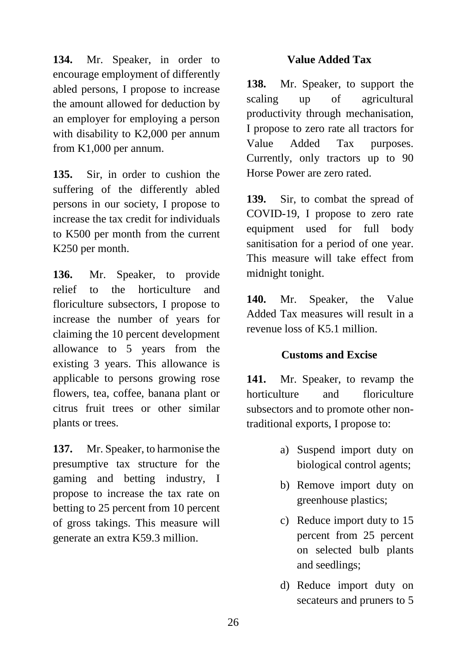**134.** Mr. Speaker, in order to encourage employment of differently abled persons, I propose to increase the amount allowed for deduction by an employer for employing a person with disability to K2,000 per annum from K1,000 per annum.

**135.** Sir, in order to cushion the suffering of the differently abled persons in our society, I propose to increase the tax credit for individuals to K500 per month from the current K250 per month.

**136.** Mr. Speaker, to provide relief to the horticulture and floriculture subsectors, I propose to increase the number of years for claiming the 10 percent development allowance to 5 years from the existing 3 years. This allowance is applicable to persons growing rose flowers, tea, coffee, banana plant or citrus fruit trees or other similar plants or trees.

**137.** Mr. Speaker, to harmonise the presumptive tax structure for the gaming and betting industry, I propose to increase the tax rate on betting to 25 percent from 10 percent of gross takings. This measure will generate an extra K59.3 million.

### **Value Added Tax**

**138.** Mr. Speaker, to support the scaling up of agricultural productivity through mechanisation, I propose to zero rate all tractors for Value Added Tax purposes. Currently, only tractors up to 90 Horse Power are zero rated.

**139.** Sir, to combat the spread of COVID-19, I propose to zero rate equipment used for full body sanitisation for a period of one year. This measure will take effect from midnight tonight.

**140.** Mr. Speaker, the Value Added Tax measures will result in a revenue loss of K5.1 million.

#### **Customs and Excise**

**141.** Mr. Speaker, to revamp the horticulture and floriculture subsectors and to promote other nontraditional exports, I propose to:

- a) Suspend import duty on biological control agents;
- b) Remove import duty on greenhouse plastics;
- c) Reduce import duty to 15 percent from 25 percent on selected bulb plants and seedlings;
- d) Reduce import duty on secateurs and pruners to 5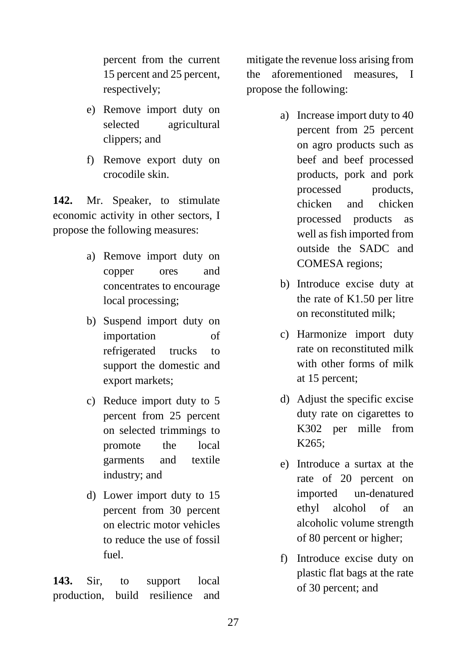percent from the current 15 percent and 25 percent, respectively;

- e) Remove import duty on selected agricultural clippers; and
- f) Remove export duty on crocodile skin.

**142.** Mr. Speaker, to stimulate economic activity in other sectors, I propose the following measures:

- a) Remove import duty on copper ores and concentrates to encourage local processing;
- b) Suspend import duty on importation of refrigerated trucks to support the domestic and export markets;
- c) Reduce import duty to 5 percent from 25 percent on selected trimmings to promote the local garments and textile industry; and
- d) Lower import duty to 15 percent from 30 percent on electric motor vehicles to reduce the use of fossil fuel.

**143.** Sir, to support local production, build resilience and mitigate the revenue loss arising from the aforementioned measures, I propose the following:

- a) Increase import duty to 40 percent from 25 percent on agro products such as beef and beef processed products, pork and pork processed products, chicken and chicken processed products as well as fish imported from outside the SADC and COMESA regions;
- b) Introduce excise duty at the rate of K1.50 per litre on reconstituted milk;
- c) Harmonize import duty rate on reconstituted milk with other forms of milk at 15 percent;
- d) Adjust the specific excise duty rate on cigarettes to K302 per mille from K265;
- e) Introduce a surtax at the rate of 20 percent on imported un-denatured ethyl alcohol of an alcoholic volume strength of 80 percent or higher;
- f) Introduce excise duty on plastic flat bags at the rate of 30 percent; and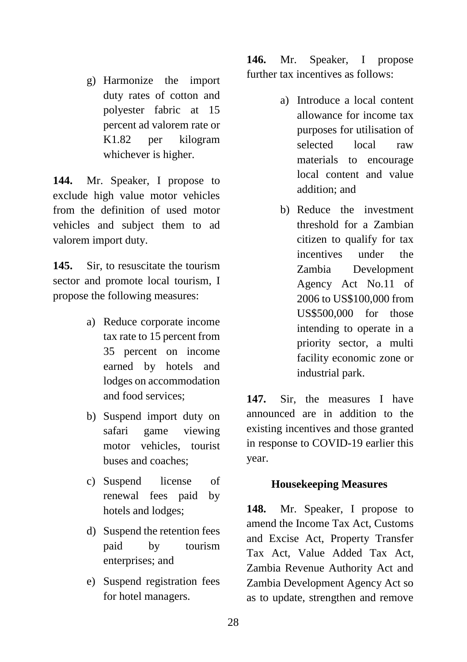g) Harmonize the import duty rates of cotton and polyester fabric at 15 percent ad valorem rate or K1.82 per kilogram whichever is higher.

**144.** Mr. Speaker, I propose to exclude high value motor vehicles from the definition of used motor vehicles and subject them to ad valorem import duty.

**145.** Sir, to resuscitate the tourism sector and promote local tourism, I propose the following measures:

- a) Reduce corporate income tax rate to 15 percent from 35 percent on income earned by hotels and lodges on accommodation and food services;
- b) Suspend import duty on safari game viewing motor vehicles, tourist buses and coaches;
- c) Suspend license of renewal fees paid by hotels and lodges;
- d) Suspend the retention fees paid by tourism enterprises; and
- e) Suspend registration fees for hotel managers.

**146.** Mr. Speaker, I propose further tax incentives as follows:

- a) Introduce a local content allowance for income tax purposes for utilisation of selected local raw materials to encourage local content and value addition; and
- b) Reduce the investment threshold for a Zambian citizen to qualify for tax incentives under the Zambia Development Agency Act No.11 of 2006 to US\$100,000 from US\$500,000 for those intending to operate in a priority sector, a multi facility economic zone or industrial park.

**147.** Sir, the measures I have announced are in addition to the existing incentives and those granted in response to COVID-19 earlier this year.

#### **Housekeeping Measures**

**148.** Mr. Speaker, I propose to amend the Income Tax Act, Customs and Excise Act, Property Transfer Tax Act, Value Added Tax Act, Zambia Revenue Authority Act and Zambia Development Agency Act so as to update, strengthen and remove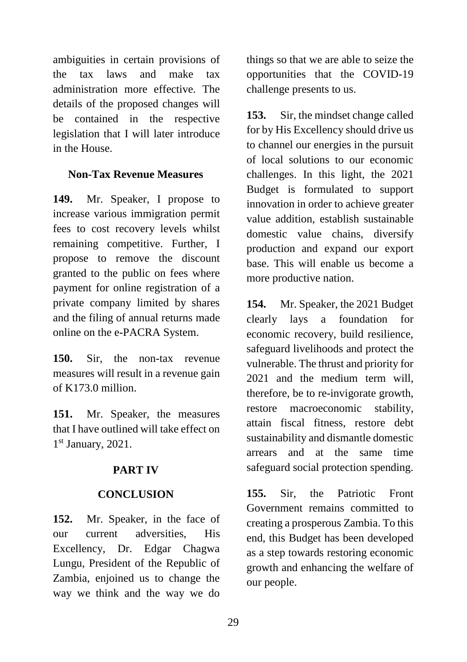ambiguities in certain provisions of the tax laws and make tax administration more effective. The details of the proposed changes will be contained in the respective legislation that I will later introduce in the House.

### **Non-Tax Revenue Measures**

**149.** Mr. Speaker, I propose to increase various immigration permit fees to cost recovery levels whilst remaining competitive. Further, I propose to remove the discount granted to the public on fees where payment for online registration of a private company limited by shares and the filing of annual returns made online on the e-PACRA System.

**150.** Sir, the non-tax revenue measures will result in a revenue gain of K173.0 million.

**151.** Mr. Speaker, the measures that I have outlined will take effect on 1st January, 2021.

# **PART IV**

### **CONCLUSION**

**152.** Mr. Speaker, in the face of our current adversities, His Excellency, Dr. Edgar Chagwa Lungu, President of the Republic of Zambia, enjoined us to change the way we think and the way we do

things so that we are able to seize the opportunities that the COVID-19 challenge presents to us.

**153.** Sir, the mindset change called for by His Excellency should drive us to channel our energies in the pursuit of local solutions to our economic challenges. In this light, the 2021 Budget is formulated to support innovation in order to achieve greater value addition, establish sustainable domestic value chains, diversify production and expand our export base. This will enable us become a more productive nation.

**154.** Mr. Speaker, the 2021 Budget clearly lays a foundation for economic recovery, build resilience, safeguard livelihoods and protect the vulnerable. The thrust and priority for 2021 and the medium term will, therefore, be to re-invigorate growth, restore macroeconomic stability, attain fiscal fitness, restore debt sustainability and dismantle domestic arrears and at the same time safeguard social protection spending.

**155.** Sir, the Patriotic Front Government remains committed to creating a prosperous Zambia. To this end, this Budget has been developed as a step towards restoring economic growth and enhancing the welfare of our people.